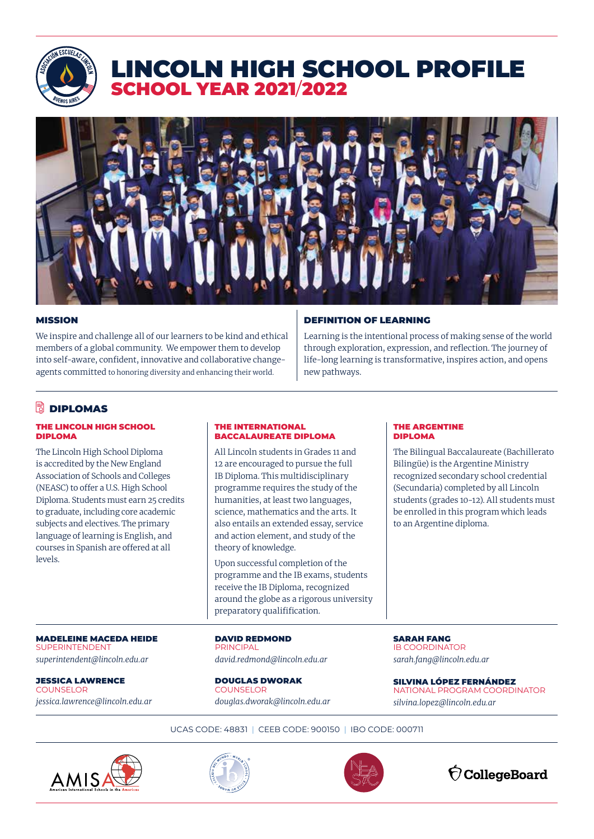

# LINCOLN HIGH SCHOOL PROFILE SCHOOL YEAR 2021/2022



#### MISSION

We inspire and challenge all of our learners to be kind and ethical members of a global community. We empower them to develop into self-aware, confident, innovative and collaborative changeagents committed to honoring diversity and enhancing their world.

#### DEFINITION OF LEARNING

Learning is the intentional process of making sense of the world through exploration, expression, and reflection. The journey of life-long learning is transformative, inspires action, and opens new pathways.

> THE ARGENTINE DIPLOMA

The Bilingual Baccalaureate (Bachillerato Bilingüe) is the Argentine Ministry recognized secondary school credential (Secundaria) completed by all Lincoln students (grades 10-12). All students must be enrolled in this program which leads

## **DIPLOMAS**

#### THE LINCOLN HIGH SCHOOL DIPLOMA

The Lincoln High School Diploma is accredited by the New England Association of Schools and Colleges (NEASC) to offer a U.S. High School Diploma. Students must earn 25 credits to graduate, including core academic subjects and electives. The primary language of learning is English, and courses in Spanish are offered at all levels.

#### THE INTERNATIONAL BACCALAUREATE DIPLOMA

All Lincoln students in Grades 11 and 12 are encouraged to pursue the full IB Diploma. This multidisciplinary programme requires the study of the humanities, at least two languages, science, mathematics and the arts. It also entails an extended essay, service and action element, and study of the theory of knowledge.

Upon successful completion of the programme and the IB exams, students receive the IB Diploma, recognized around the globe as a rigorous university preparatory qualifification.

DAVID REDMOND **PRINCIPAL** *david.redmond@lincoln.edu.ar*

DOUGLAS DWORAK **COUNSELOR** *douglas.dworak@lincoln.edu.ar*

SARAH FANG IB COORDINATOR *sarah.fang@lincoln.edu.ar*

to an Argentine diploma.

SILVINA LÓPEZ FERNÁNDEZ NATIONAL PROGRAM COORDINATOR *silvina.lopez@lincoln.edu.ar*

UCAS CODE: 48831 | CEEB CODE: 900150 | IBO CODE: 000711



MADELEINE MACEDA HEIDE

*superintendent@lincoln.edu.ar*

*jessica.lawrence@lincoln.edu.ar*

SUPERINTENDENT

**COUNSELOR** 

JESSICA LAWRENCE





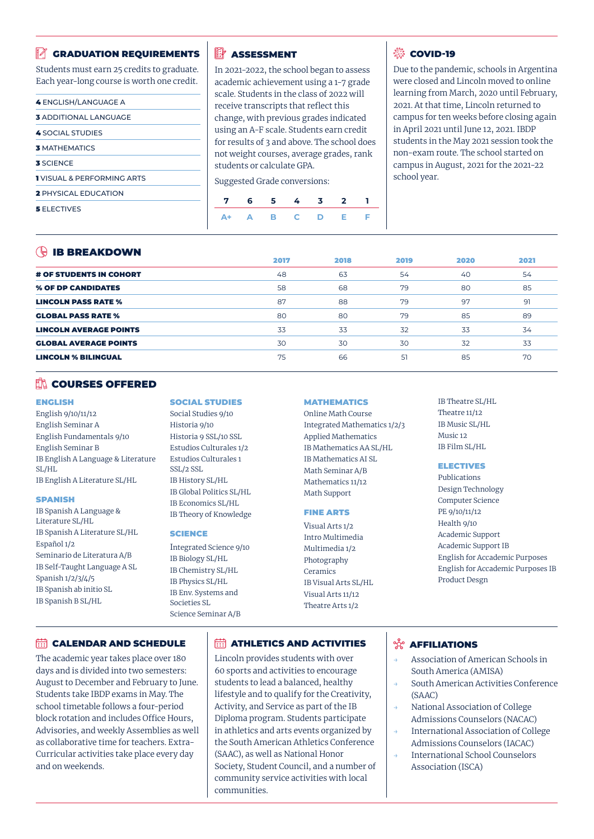#### GRADUATION REQUIREMENTS

Students must earn 25 credits to graduate. Each year-long course is worth one credit.

| <b>4 ENGLISH/LANGUAGE A</b>          |  |
|--------------------------------------|--|
| <b>3 ADDITIONAL LANGUAGE</b>         |  |
| <b>4 SOCIAL STUDIES</b>              |  |
| <b>3 MATHEMATICS</b>                 |  |
| <b>3 SCIENCE</b>                     |  |
| <b>IVISUAL &amp; PERFORMING ARTS</b> |  |
| <b>2 PHYSICAL EDUCATION</b>          |  |
| <b>5</b> ELECTIVES                   |  |

#### **EV** ASSESSMENT

In 2021-2022, the school began to assess academic achievement using a 1-7 grade scale. Students in the class of 2022 will receive transcripts that reflect this change, with previous grades indicated using an A-F scale. Students earn credit for results of 3 and above. The school does not weight courses, average grades, rank students or calculate GPA.

Suggested Grade conversions:

#### **戀 COVID-19**

Due to the pandemic, schools in Argentina were closed and Lincoln moved to online learning from March, 2020 until February, 2021. At that time, Lincoln returned to campus for ten weeks before closing again in April 2021 until June 12, 2021. IBDP students in the May 2021 session took the non-exam route. The school started on campus in August, 2021 for the 2021-22 school year.

## **ID BBEAKDOWN**

| $\sqrt{2}$ is skeaks of $\sqrt{2}$ | 2017 | 2018 | 2019 | 2020 | 2021 |
|------------------------------------|------|------|------|------|------|
| <b># OF STUDENTS IN COHORT</b>     | 48   | 63   | 54   | 40   | 54   |
| % OF DP CANDIDATES                 | 58   | 68   | 79   | 80   | 85   |
| <b>LINCOLN PASS RATE %</b>         | 87   | 88   | 79   | 97   | 91   |
| <b>GLOBAL PASS RATE %</b>          | 80   | 80   | 79   | 85   | 89   |
| <b>LINCOLN AVERAGE POINTS</b>      | 33   | 33   | 32   | 33   | 34   |
| <b>GLOBAL AVERAGE POINTS</b>       | 30   | 30   | 30   | 32   | 33   |
| <b>LINCOLN % BILINGUAL</b>         | 75   | 66   | 51   | 85   | 70   |

#### **NO COURSES OFFERED**

#### ENGLISH

English 9/10/11/12 English Seminar A English Fundamentals 9/10 English Seminar B IB English A Language & Literature SL/HL IB English A Literature SL/HL

#### **SPANISH**

IB Spanish A Language & Literature SL/HL IB Spanish A Literature SL/HL Español 1/2 Seminario de Literatura A/B IB Self-Taught Language A SL Spanish 1/2/3/4/5 IB Spanish ab initio SL IB Spanish B SL/HL

#### SOCIAL STUDIES

Social Studies 9/10 Historia 9/10 Historia 9 SSL/10 SSL Estudios Culturales 1/2 Estudios Culturales 1 SSL/2 SSL IB History SL/HL IB Global Politics SL/HL IB Economics SL/HL IB Theory of Knowledge

#### **SCIENCE**

Integrated Science 9/10 IB Biology SL/HL IB Chemistry SL/HL IB Physics SL/HL IB Env. Systems and Societies SL Science Seminar A/B

#### **MATHEMATICS**

Online Math Course Integrated Mathematics 1/2/3 Applied Mathematics IB Mathematics AA SL/HL IB Mathematics AI SL Math Seminar A/B Mathematics 11/12 Math Support

#### FINE ARTS

Visual Arts 1/2 Intro Multimedia Multimedia 1/2 Photography Ceramics IB Visual Arts SL/HL Visual Arts 11/12 Theatre Arts 1/2

IB Theatre SL/HL Theatre 11/12 IB Music SL/HL Music 12 IB Film SL/HL

#### ELECTIVES

Publications Design Technology Computer Science PE 9/10/11/12 Health 9/10 Academic Support Academic Support IB English for Accademic Purposes English for Accademic Purposes IB Product Desgn

#### **CALENDAR AND SCHEDULE**

The academic year takes place over 180 days and is divided into two semesters: August to December and February to June. Students take IBDP exams in May. The school timetable follows a four-period block rotation and includes Office Hours, Advisories, and weekly Assemblies as well as collaborative time for teachers. Extra-Curricular activities take place every day and on weekends.

### **ET ATHLETICS AND ACTIVITIES**

Lincoln provides students with over 60 sports and activities to encourage students to lead a balanced, healthy lifestyle and to qualify for the Creativity, Activity, and Service as part of the IB Diploma program. Students participate in athletics and arts events organized by the South American Athletics Conference (SAAC), as well as National Honor Society, Student Council, and a number of community service activities with local communities.

## **<sup>%</sup> AFFILIATIONS**

- Association of American Schools in South America (AMISA)
- South American Activities Conference (SAAC)
- National Association of College Admissions Counselors (NACAC)
- International Association of College Admissions Counselors (IACAC)
- International School Counselors Association (ISCA)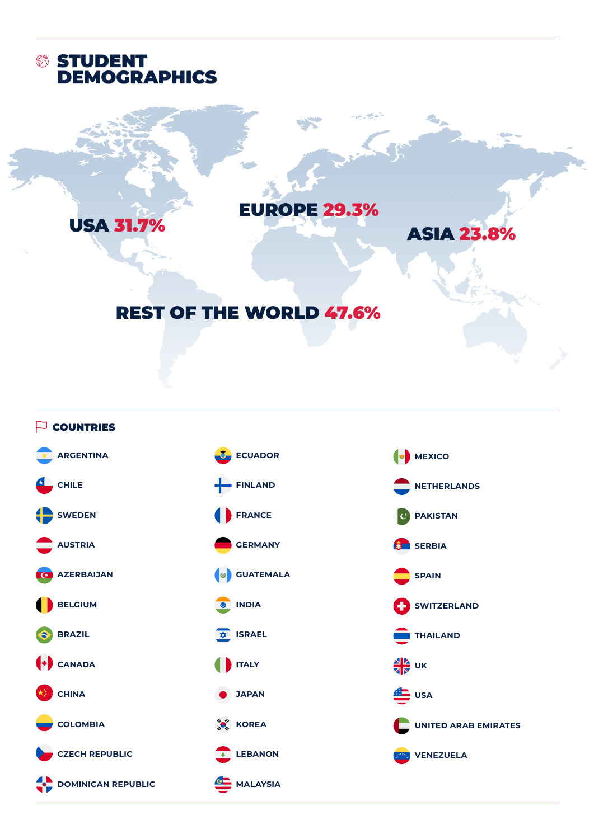

USA 31.7%

# EUROPE 29.3%

ASIA 23.8%

# REST OF THE WORLD 47.6%